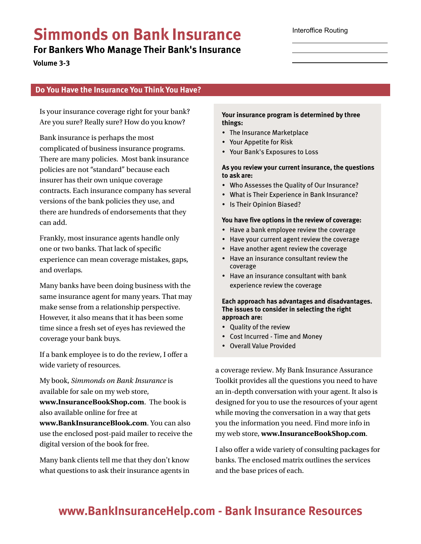# Simmonds on Bank Insurance

For Bankers Who Manage Their Bank's Insurance

Volume 3-3

# Do You Have the Insurance You Think You Have?

Is your insurance coverage right for your bank? Are you sure? Really sure? How do you know?

Bank insurance is perhaps the most complicated of business insurance programs. There are many policies. Most bank insurance policies are not "standard" because each insurer has their own unique coverage contracts. Each insurance company has several versions of the bank policies they use, and there are hundreds of endorsements that they can add.

Frankly, most insurance agents handle only one or two banks. That lack of specific experience can mean coverage mistakes, gaps, and overlaps.

Many banks have been doing business with the same insurance agent for many years. That may make sense from a relationship perspective. However, it also means that it has been some time since a fresh set of eyes has reviewed the coverage your bank buys.

If a bank employee is to do the review, I offer a wide variety of resources.

My book, Simmonds on Bank Insurance is available for sale on my web store,

www.InsuranceBookShop.com. The book is also available online for free at

www.BankInsuranceBlook.com. You can also use the enclosed post-paid mailer to receive the digital version of the book for free.

Many bank clients tell me that they don't know what questions to ask their insurance agents in Your insurance program is determined by three things:

- The Insurance Marketplace
- Your Appetite for Risk
- Your Bank's Exposures to Loss

### As you review your current insurance, the questions to ask are:

- Who Assesses the Quality of Our Insurance?
- What is Their Experience in Bank Insurance?
- Is Their Opinion Biased?

#### You have five options in the review of coverage:

- Have a bank employee review the coverage
- Have your current agent review the coverage
- Have another agent review the coverage
- Have an insurance consultant review the coverage
- Have an insurance consultant with bank experience review the coverage

Each approach has advantages and disadvantages. The issues to consider in selecting the right approach are:

- Quality of the review
- Cost Incurred Time and Money
- Overall Value Provided

a coverage review. My Bank Insurance Assurance Toolkit provides all the questions you need to have an in-depth conversation with your agent. It also is designed for you to use the resources of your agent while moving the conversation in a way that gets you the information you need. Find more info in my web store, www.InsuranceBookShop.com.

I also offer a wide variety of consulting packages for banks. The enclosed matrix outlines the services and the base prices of each.

# www.BankInsuranceHelp.com - Bank Insurance Resources